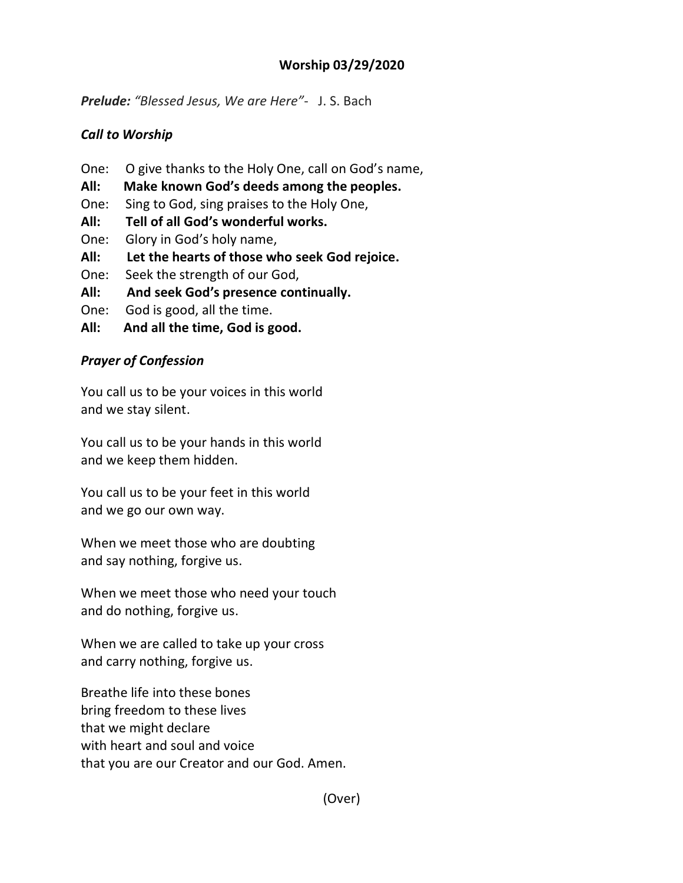## **Worship 03/29/2020**

*Prelude: "Blessed Jesus, We are Here"*- J. S. Bach

## *Call to Worship*

- One: O give thanks to the Holy One, call on God's name,
- **All: Make known God's deeds among the peoples.**
- One: Sing to God, sing praises to the Holy One,
- **All: Tell of all God's wonderful works.**
- One: Glory in God's holy name,
- **All: Let the hearts of those who seek God rejoice.**
- One: Seek the strength of our God,
- **All: And seek God's presence continually.**
- One: God is good, all the time.
- **All: And all the time, God is good.**

## *Prayer of Confession*

You call us to be your voices in this world and we stay silent.

You call us to be your hands in this world and we keep them hidden.

You call us to be your feet in this world and we go our own way.

When we meet those who are doubting and say nothing, forgive us.

When we meet those who need your touch and do nothing, forgive us.

When we are called to take up your cross and carry nothing, forgive us.

Breathe life into these bones bring freedom to these lives that we might declare with heart and soul and voice that you are our Creator and our God. Amen.